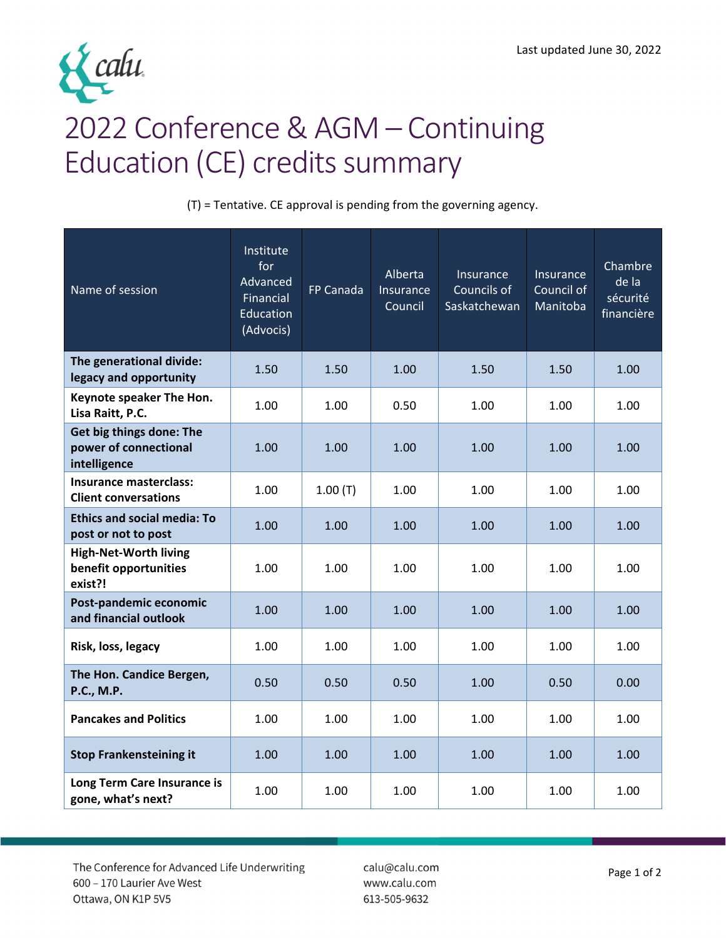

## 2022 Conference & AGM – Continuing Education (CE) credits summary

(T) = Tentative. CE approval is pending from the governing agency.

| Name of session                                                   | Institute<br>for<br>Advanced<br>Financial<br>Education<br>(Advocis) | FP Canada | Alberta<br>Insurance<br>Council | Insurance<br>Councils of<br>Saskatchewan | Insurance<br>Council of<br>Manitoba | Chambre<br>de la<br>sécurité<br>financière |
|-------------------------------------------------------------------|---------------------------------------------------------------------|-----------|---------------------------------|------------------------------------------|-------------------------------------|--------------------------------------------|
| The generational divide:<br>legacy and opportunity                | 1.50                                                                | 1.50      | 1.00                            | 1.50                                     | 1.50                                | 1.00                                       |
| Keynote speaker The Hon.<br>Lisa Raitt, P.C.                      | 1.00                                                                | 1.00      | 0.50                            | 1.00                                     | 1.00                                | 1.00                                       |
| Get big things done: The<br>power of connectional<br>intelligence | 1.00                                                                | 1.00      | 1.00                            | 1.00                                     | 1.00                                | 1.00                                       |
| Insurance masterclass:<br><b>Client conversations</b>             | 1.00                                                                | 1.00(T)   | 1.00                            | 1.00                                     | 1.00                                | 1.00                                       |
| <b>Ethics and social media: To</b><br>post or not to post         | 1.00                                                                | 1.00      | 1.00                            | 1.00                                     | 1.00                                | 1.00                                       |
| <b>High-Net-Worth living</b><br>benefit opportunities<br>exist?!  | 1.00                                                                | 1.00      | 1.00                            | 1.00                                     | 1.00                                | 1.00                                       |
| Post-pandemic economic<br>and financial outlook                   | 1.00                                                                | 1.00      | 1.00                            | 1.00                                     | 1.00                                | 1.00                                       |
| Risk, loss, legacy                                                | 1.00                                                                | 1.00      | 1.00                            | 1.00                                     | 1.00                                | 1.00                                       |
| The Hon. Candice Bergen,<br><b>P.C., M.P.</b>                     | 0.50                                                                | 0.50      | 0.50                            | 1.00                                     | 0.50                                | 0.00                                       |
| <b>Pancakes and Politics</b>                                      | 1.00                                                                | 1.00      | 1.00                            | 1.00                                     | 1.00                                | 1.00                                       |
| <b>Stop Frankensteining it</b>                                    | 1.00                                                                | 1.00      | 1.00                            | 1.00                                     | 1.00                                | 1.00                                       |
| Long Term Care Insurance is<br>gone, what's next?                 | 1.00                                                                | 1.00      | 1.00                            | 1.00                                     | 1.00                                | 1.00                                       |

The Conference for Advanced Life Underwriting 600 - 170 Laurier Ave West Ottawa, ON K1P 5V5

calu@calu.com www.calu.com 613-505-9632